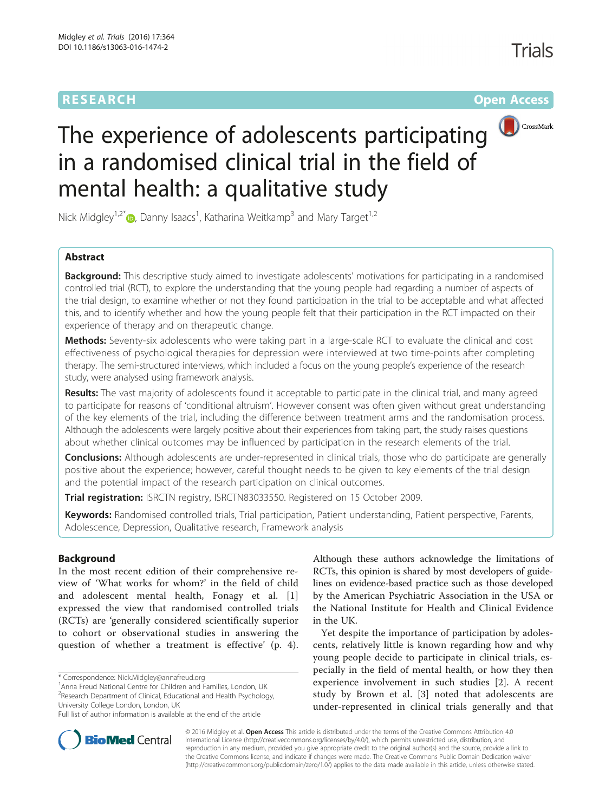# **RESEARCH CHINESE ARCH CHINESE ARCHITECT ARCHITECT ARCHITECT ARCHITECT ARCHITECT ARCHITECT ARCHITECT ARCHITECT ARCHITECT ARCHITECT ARCHITECT ARCHITECT ARCHITECT ARCHITECT ARCHITECT ARCHITECT ARCHITECT ARCHITECT ARCHITE**



# The experience of adolescents participating in a randomised clinical trial in the field of mental health: a qualitative study

Nick Midgley<sup>1[,](http://orcid.org/0000-0002-6263-5058)2\*</sup> (D, Danny Isaacs<sup>1</sup>, Katharina Weitkamp<sup>3</sup> and Mary Target<sup>1,2</sup>

# Abstract

**Background:** This descriptive study aimed to investigate adolescents' motivations for participating in a randomised controlled trial (RCT), to explore the understanding that the young people had regarding a number of aspects of the trial design, to examine whether or not they found participation in the trial to be acceptable and what affected this, and to identify whether and how the young people felt that their participation in the RCT impacted on their experience of therapy and on therapeutic change.

Methods: Seventy-six adolescents who were taking part in a large-scale RCT to evaluate the clinical and cost effectiveness of psychological therapies for depression were interviewed at two time-points after completing therapy. The semi-structured interviews, which included a focus on the young people's experience of the research study, were analysed using framework analysis.

Results: The vast majority of adolescents found it acceptable to participate in the clinical trial, and many agreed to participate for reasons of 'conditional altruism'. However consent was often given without great understanding of the key elements of the trial, including the difference between treatment arms and the randomisation process. Although the adolescents were largely positive about their experiences from taking part, the study raises questions about whether clinical outcomes may be influenced by participation in the research elements of the trial.

**Conclusions:** Although adolescents are under-represented in clinical trials, those who do participate are generally positive about the experience; however, careful thought needs to be given to key elements of the trial design and the potential impact of the research participation on clinical outcomes.

Trial registration: ISRCTN registry, [ISRCTN83033550](http://www.isrctn.com/ISRCTN83033550). Registered on 15 October 2009.

Keywords: Randomised controlled trials, Trial participation, Patient understanding, Patient perspective, Parents, Adolescence, Depression, Qualitative research, Framework analysis

## Background

In the most recent edition of their comprehensive review of 'What works for whom?' in the field of child and adolescent mental health, Fonagy et al. [\[1](#page-11-0)] expressed the view that randomised controlled trials (RCTs) are 'generally considered scientifically superior to cohort or observational studies in answering the question of whether a treatment is effective' (p. 4).

\* Correspondence: [Nick.Midgley@annafreud.org](mailto:Nick.Midgley@annafreud.org) <sup>1</sup>

<sup>1</sup> Anna Freud National Centre for Children and Families, London, UK <sup>2</sup> Research Department of Clinical, Educational and Health Psychology, University College London, London, UK

Although these authors acknowledge the limitations of RCTs, this opinion is shared by most developers of guidelines on evidence-based practice such as those developed by the American Psychiatric Association in the USA or the National Institute for Health and Clinical Evidence in the UK.

Yet despite the importance of participation by adolescents, relatively little is known regarding how and why young people decide to participate in clinical trials, especially in the field of mental health, or how they then experience involvement in such studies [[2\]](#page-11-0). A recent study by Brown et al. [[3\]](#page-11-0) noted that adolescents are under-represented in clinical trials generally and that



© 2016 Midgley et al. Open Access This article is distributed under the terms of the Creative Commons Attribution 4.0 International License [\(http://creativecommons.org/licenses/by/4.0/](http://creativecommons.org/licenses/by/4.0/)), which permits unrestricted use, distribution, and reproduction in any medium, provided you give appropriate credit to the original author(s) and the source, provide a link to the Creative Commons license, and indicate if changes were made. The Creative Commons Public Domain Dedication waiver [\(http://creativecommons.org/publicdomain/zero/1.0/](http://creativecommons.org/publicdomain/zero/1.0/)) applies to the data made available in this article, unless otherwise stated.

Full list of author information is available at the end of the article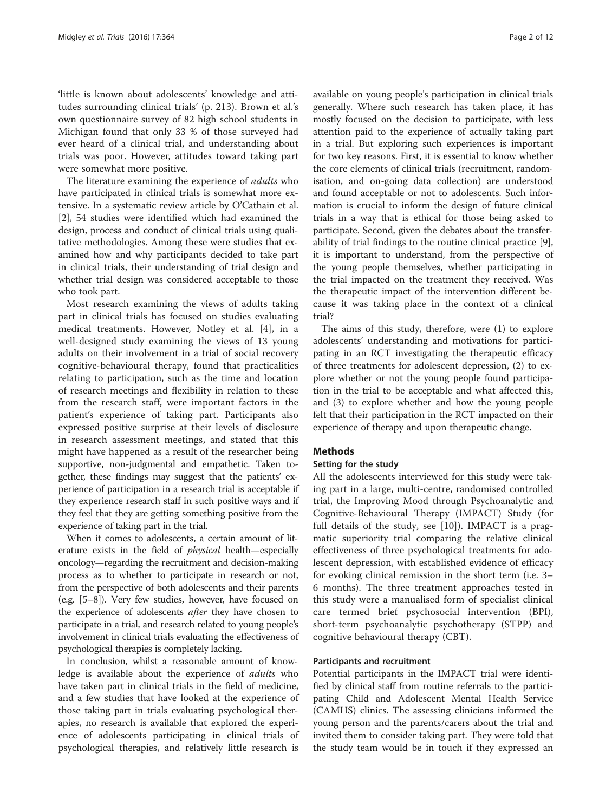'little is known about adolescents' knowledge and attitudes surrounding clinical trials' (p. 213). Brown et al.'s own questionnaire survey of 82 high school students in Michigan found that only 33 % of those surveyed had ever heard of a clinical trial, and understanding about trials was poor. However, attitudes toward taking part were somewhat more positive.

The literature examining the experience of *adults* who have participated in clinical trials is somewhat more extensive. In a systematic review article by O'Cathain et al. [[2\]](#page-11-0), 54 studies were identified which had examined the design, process and conduct of clinical trials using qualitative methodologies. Among these were studies that examined how and why participants decided to take part in clinical trials, their understanding of trial design and whether trial design was considered acceptable to those who took part.

Most research examining the views of adults taking part in clinical trials has focused on studies evaluating medical treatments. However, Notley et al. [\[4](#page-11-0)], in a well-designed study examining the views of 13 young adults on their involvement in a trial of social recovery cognitive-behavioural therapy, found that practicalities relating to participation, such as the time and location of research meetings and flexibility in relation to these from the research staff, were important factors in the patient's experience of taking part. Participants also expressed positive surprise at their levels of disclosure in research assessment meetings, and stated that this might have happened as a result of the researcher being supportive, non-judgmental and empathetic. Taken together, these findings may suggest that the patients' experience of participation in a research trial is acceptable if they experience research staff in such positive ways and if they feel that they are getting something positive from the experience of taking part in the trial.

When it comes to adolescents, a certain amount of literature exists in the field of physical health—especially oncology—regarding the recruitment and decision-making process as to whether to participate in research or not, from the perspective of both adolescents and their parents (e.g. [\[5](#page-11-0)–[8\]](#page-11-0)). Very few studies, however, have focused on the experience of adolescents after they have chosen to participate in a trial, and research related to young people's involvement in clinical trials evaluating the effectiveness of psychological therapies is completely lacking.

In conclusion, whilst a reasonable amount of knowledge is available about the experience of *adults* who have taken part in clinical trials in the field of medicine, and a few studies that have looked at the experience of those taking part in trials evaluating psychological therapies, no research is available that explored the experience of adolescents participating in clinical trials of psychological therapies, and relatively little research is available on young people's participation in clinical trials generally. Where such research has taken place, it has mostly focused on the decision to participate, with less attention paid to the experience of actually taking part in a trial. But exploring such experiences is important for two key reasons. First, it is essential to know whether the core elements of clinical trials (recruitment, randomisation, and on-going data collection) are understood and found acceptable or not to adolescents. Such information is crucial to inform the design of future clinical trials in a way that is ethical for those being asked to participate. Second, given the debates about the transferability of trial findings to the routine clinical practice [\[9](#page-11-0)], it is important to understand, from the perspective of the young people themselves, whether participating in the trial impacted on the treatment they received. Was the therapeutic impact of the intervention different because it was taking place in the context of a clinical trial?

The aims of this study, therefore, were (1) to explore adolescents' understanding and motivations for participating in an RCT investigating the therapeutic efficacy of three treatments for adolescent depression, (2) to explore whether or not the young people found participation in the trial to be acceptable and what affected this, and (3) to explore whether and how the young people felt that their participation in the RCT impacted on their experience of therapy and upon therapeutic change.

#### Methods

#### Setting for the study

All the adolescents interviewed for this study were taking part in a large, multi-centre, randomised controlled trial, the Improving Mood through Psychoanalytic and Cognitive-Behavioural Therapy (IMPACT) Study (for full details of the study, see [[10](#page-11-0)]). IMPACT is a pragmatic superiority trial comparing the relative clinical effectiveness of three psychological treatments for adolescent depression, with established evidence of efficacy for evoking clinical remission in the short term (i.e. 3– 6 months). The three treatment approaches tested in this study were a manualised form of specialist clinical care termed brief psychosocial intervention (BPI), short-term psychoanalytic psychotherapy (STPP) and cognitive behavioural therapy (CBT).

#### Participants and recruitment

Potential participants in the IMPACT trial were identified by clinical staff from routine referrals to the participating Child and Adolescent Mental Health Service (CAMHS) clinics. The assessing clinicians informed the young person and the parents/carers about the trial and invited them to consider taking part. They were told that the study team would be in touch if they expressed an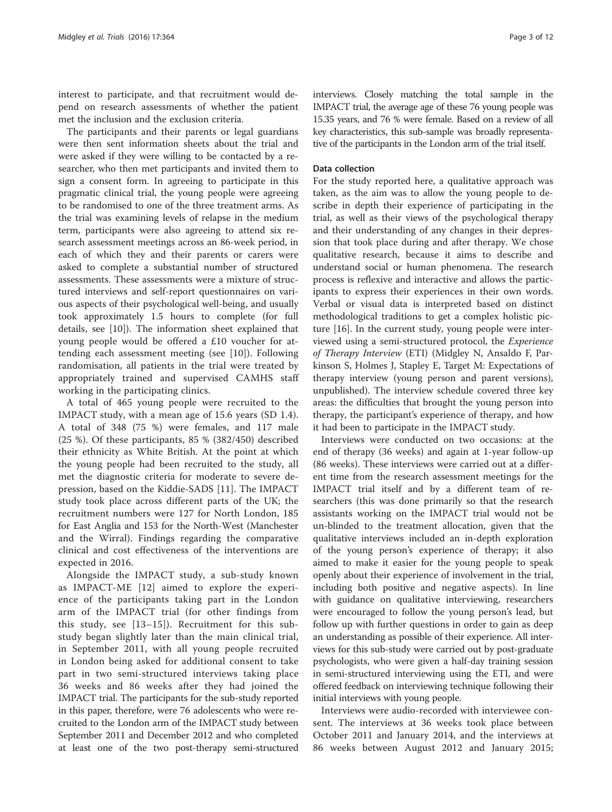interest to participate, and that recruitment would depend on research assessments of whether the patient met the inclusion and the exclusion criteria.

The participants and their parents or legal guardians were then sent information sheets about the trial and were asked if they were willing to be contacted by a researcher, who then met participants and invited them to sign a consent form. In agreeing to participate in this pragmatic clinical trial, the young people were agreeing to be randomised to one of the three treatment arms. As the trial was examining levels of relapse in the medium term, participants were also agreeing to attend six research assessment meetings across an 86-week period, in each of which they and their parents or carers were asked to complete a substantial number of structured assessments. These assessments were a mixture of structured interviews and self-report questionnaires on various aspects of their psychological well-being, and usually took approximately 1.5 hours to complete (for full details, see [[10](#page-11-0)]). The information sheet explained that young people would be offered a £10 voucher for attending each assessment meeting (see [[10\]](#page-11-0)). Following randomisation, all patients in the trial were treated by appropriately trained and supervised CAMHS staff working in the participating clinics.

A total of 465 young people were recruited to the IMPACT study, with a mean age of 15.6 years (SD 1.4). A total of 348 (75 %) were females, and 117 male (25 %). Of these participants, 85 % (382/450) described their ethnicity as White British. At the point at which the young people had been recruited to the study, all met the diagnostic criteria for moderate to severe depression, based on the Kiddie-SADS [\[11](#page-11-0)]. The IMPACT study took place across different parts of the UK; the recruitment numbers were 127 for North London, 185 for East Anglia and 153 for the North-West (Manchester and the Wirral). Findings regarding the comparative clinical and cost effectiveness of the interventions are expected in 2016.

Alongside the IMPACT study, a sub-study known as IMPACT-ME [[12](#page-11-0)] aimed to explore the experience of the participants taking part in the London arm of the IMPACT trial (for other findings from this study, see [[13](#page-11-0)–[15](#page-11-0)]). Recruitment for this substudy began slightly later than the main clinical trial, in September 2011, with all young people recruited in London being asked for additional consent to take part in two semi-structured interviews taking place 36 weeks and 86 weeks after they had joined the IMPACT trial. The participants for the sub-study reported in this paper, therefore, were 76 adolescents who were recruited to the London arm of the IMPACT study between September 2011 and December 2012 and who completed at least one of the two post-therapy semi-structured

interviews. Closely matching the total sample in the IMPACT trial, the average age of these 76 young people was 15.35 years, and 76 % were female. Based on a review of all key characteristics, this sub-sample was broadly representative of the participants in the London arm of the trial itself.

#### Data collection

For the study reported here, a qualitative approach was taken, as the aim was to allow the young people to describe in depth their experience of participating in the trial, as well as their views of the psychological therapy and their understanding of any changes in their depression that took place during and after therapy. We chose qualitative research, because it aims to describe and understand social or human phenomena. The research process is reflexive and interactive and allows the participants to express their experiences in their own words. Verbal or visual data is interpreted based on distinct methodological traditions to get a complex holistic picture [[16\]](#page-11-0). In the current study, young people were interviewed using a semi-structured protocol, the Experience of Therapy Interview (ETI) (Midgley N, Ansaldo F, Parkinson S, Holmes J, Stapley E, Target M: Expectations of therapy interview (young person and parent versions), unpublished). The interview schedule covered three key areas: the difficulties that brought the young person into therapy, the participant's experience of therapy, and how it had been to participate in the IMPACT study.

Interviews were conducted on two occasions: at the end of therapy (36 weeks) and again at 1-year follow-up (86 weeks). These interviews were carried out at a different time from the research assessment meetings for the IMPACT trial itself and by a different team of researchers (this was done primarily so that the research assistants working on the IMPACT trial would not be un-blinded to the treatment allocation, given that the qualitative interviews included an in-depth exploration of the young person's experience of therapy; it also aimed to make it easier for the young people to speak openly about their experience of involvement in the trial, including both positive and negative aspects). In line with guidance on qualitative interviewing, researchers were encouraged to follow the young person's lead, but follow up with further questions in order to gain as deep an understanding as possible of their experience. All interviews for this sub-study were carried out by post-graduate psychologists, who were given a half-day training session in semi-structured interviewing using the ETI, and were offered feedback on interviewing technique following their initial interviews with young people.

Interviews were audio-recorded with interviewee consent. The interviews at 36 weeks took place between October 2011 and January 2014, and the interviews at 86 weeks between August 2012 and January 2015;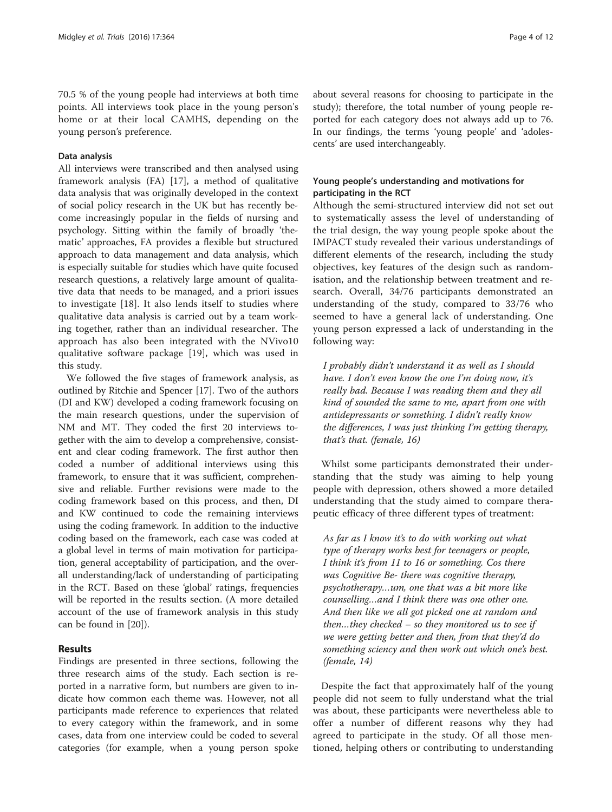70.5 % of the young people had interviews at both time points. All interviews took place in the young person's home or at their local CAMHS, depending on the young person's preference.

#### Data analysis

All interviews were transcribed and then analysed using framework analysis (FA) [[17\]](#page-11-0), a method of qualitative data analysis that was originally developed in the context of social policy research in the UK but has recently become increasingly popular in the fields of nursing and psychology. Sitting within the family of broadly 'thematic' approaches, FA provides a flexible but structured approach to data management and data analysis, which is especially suitable for studies which have quite focused research questions, a relatively large amount of qualitative data that needs to be managed, and a priori issues to investigate [\[18](#page-11-0)]. It also lends itself to studies where qualitative data analysis is carried out by a team working together, rather than an individual researcher. The approach has also been integrated with the NVivo10 qualitative software package [[19\]](#page-11-0), which was used in this study.

We followed the five stages of framework analysis, as outlined by Ritchie and Spencer [[17](#page-11-0)]. Two of the authors (DI and KW) developed a coding framework focusing on the main research questions, under the supervision of NM and MT. They coded the first 20 interviews together with the aim to develop a comprehensive, consistent and clear coding framework. The first author then coded a number of additional interviews using this framework, to ensure that it was sufficient, comprehensive and reliable. Further revisions were made to the coding framework based on this process, and then, DI and KW continued to code the remaining interviews using the coding framework. In addition to the inductive coding based on the framework, each case was coded at a global level in terms of main motivation for participation, general acceptability of participation, and the overall understanding/lack of understanding of participating in the RCT. Based on these 'global' ratings, frequencies will be reported in the results section. (A more detailed account of the use of framework analysis in this study can be found in [\[20](#page-11-0)]).

#### Results

Findings are presented in three sections, following the three research aims of the study. Each section is reported in a narrative form, but numbers are given to indicate how common each theme was. However, not all participants made reference to experiences that related to every category within the framework, and in some cases, data from one interview could be coded to several categories (for example, when a young person spoke about several reasons for choosing to participate in the study); therefore, the total number of young people reported for each category does not always add up to 76. In our findings, the terms 'young people' and 'adolescents' are used interchangeably.

#### Young people's understanding and motivations for participating in the RCT

Although the semi-structured interview did not set out to systematically assess the level of understanding of the trial design, the way young people spoke about the IMPACT study revealed their various understandings of different elements of the research, including the study objectives, key features of the design such as randomisation, and the relationship between treatment and research. Overall, 34/76 participants demonstrated an understanding of the study, compared to 33/76 who seemed to have a general lack of understanding. One young person expressed a lack of understanding in the following way:

I probably didn't understand it as well as I should have. I don't even know the one I'm doing now, it's really bad. Because I was reading them and they all kind of sounded the same to me, apart from one with antidepressants or something. I didn't really know the differences, I was just thinking I'm getting therapy, that's that. (female, 16)

Whilst some participants demonstrated their understanding that the study was aiming to help young people with depression, others showed a more detailed understanding that the study aimed to compare therapeutic efficacy of three different types of treatment:

As far as I know it's to do with working out what type of therapy works best for teenagers or people, I think it's from 11 to 16 or something. Cos there was Cognitive Be- there was cognitive therapy, psychotherapy…um, one that was a bit more like counselling…and I think there was one other one. And then like we all got picked one at random and then…they checked – so they monitored us to see if we were getting better and then, from that they'd do something sciency and then work out which one's best. (female, 14)

Despite the fact that approximately half of the young people did not seem to fully understand what the trial was about, these participants were nevertheless able to offer a number of different reasons why they had agreed to participate in the study. Of all those mentioned, helping others or contributing to understanding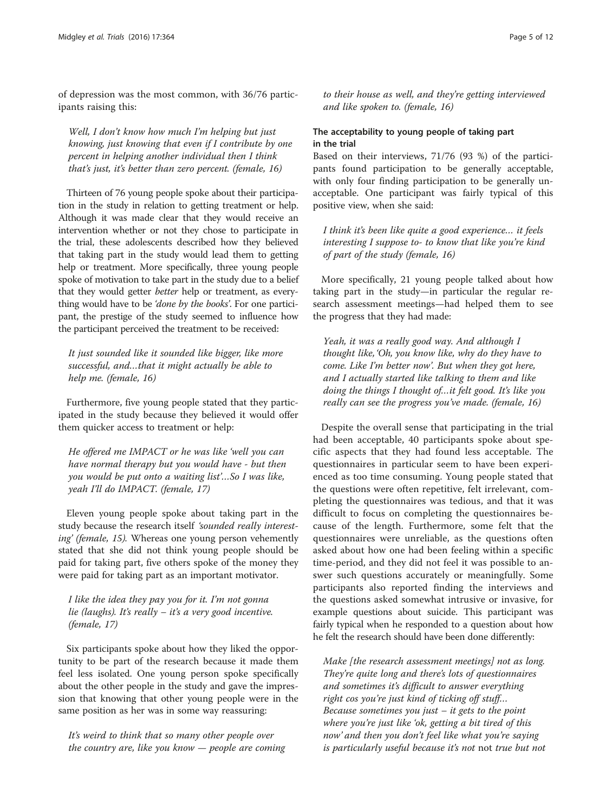of depression was the most common, with 36/76 participants raising this:

Well, I don't know how much I'm helping but just knowing, just knowing that even if I contribute by one percent in helping another individual then I think that's just, it's better than zero percent. (female, 16)

Thirteen of 76 young people spoke about their participation in the study in relation to getting treatment or help. Although it was made clear that they would receive an intervention whether or not they chose to participate in the trial, these adolescents described how they believed that taking part in the study would lead them to getting help or treatment. More specifically, three young people spoke of motivation to take part in the study due to a belief that they would getter better help or treatment, as everything would have to be 'done by the books'. For one participant, the prestige of the study seemed to influence how the participant perceived the treatment to be received:

It just sounded like it sounded like bigger, like more successful, and…that it might actually be able to help me. (female, 16)

Furthermore, five young people stated that they participated in the study because they believed it would offer them quicker access to treatment or help:

He offered me IMPACT or he was like 'well you can have normal therapy but you would have - but then you would be put onto a waiting list'…So I was like, yeah I'll do IMPACT. (female, 17)

Eleven young people spoke about taking part in the study because the research itself 'sounded really interesting' (female, 15). Whereas one young person vehemently stated that she did not think young people should be paid for taking part, five others spoke of the money they were paid for taking part as an important motivator.

I like the idea they pay you for it. I'm not gonna lie (laughs). It's really  $-$  it's a very good incentive. (female, 17)

Six participants spoke about how they liked the opportunity to be part of the research because it made them feel less isolated. One young person spoke specifically about the other people in the study and gave the impression that knowing that other young people were in the same position as her was in some way reassuring:

It's weird to think that so many other people over the country are, like you know  $-$  people are coming to their house as well, and they're getting interviewed and like spoken to. (female, 16)

### The acceptability to young people of taking part in the trial

Based on their interviews, 71/76 (93 %) of the participants found participation to be generally acceptable, with only four finding participation to be generally unacceptable. One participant was fairly typical of this positive view, when she said:

I think it's been like quite a good experience… it feels interesting I suppose to- to know that like you're kind of part of the study (female, 16)

More specifically, 21 young people talked about how taking part in the study—in particular the regular research assessment meetings—had helped them to see the progress that they had made:

Yeah, it was a really good way. And although I thought like, 'Oh, you know like, why do they have to come. Like I'm better now'. But when they got here, and I actually started like talking to them and like doing the things I thought of…it felt good. It's like you really can see the progress you've made. (female, 16)

Despite the overall sense that participating in the trial had been acceptable, 40 participants spoke about specific aspects that they had found less acceptable. The questionnaires in particular seem to have been experienced as too time consuming. Young people stated that the questions were often repetitive, felt irrelevant, completing the questionnaires was tedious, and that it was difficult to focus on completing the questionnaires because of the length. Furthermore, some felt that the questionnaires were unreliable, as the questions often asked about how one had been feeling within a specific time-period, and they did not feel it was possible to answer such questions accurately or meaningfully. Some participants also reported finding the interviews and the questions asked somewhat intrusive or invasive, for example questions about suicide. This participant was fairly typical when he responded to a question about how he felt the research should have been done differently:

Make [the research assessment meetings] not as long. They're quite long and there's lots of questionnaires and sometimes it's difficult to answer everything right cos you're just kind of ticking off stuff… Because sometimes you just  $-$  it gets to the point where you're just like 'ok, getting a bit tired of this now' and then you don't feel like what you're saying is particularly useful because it's not not true but not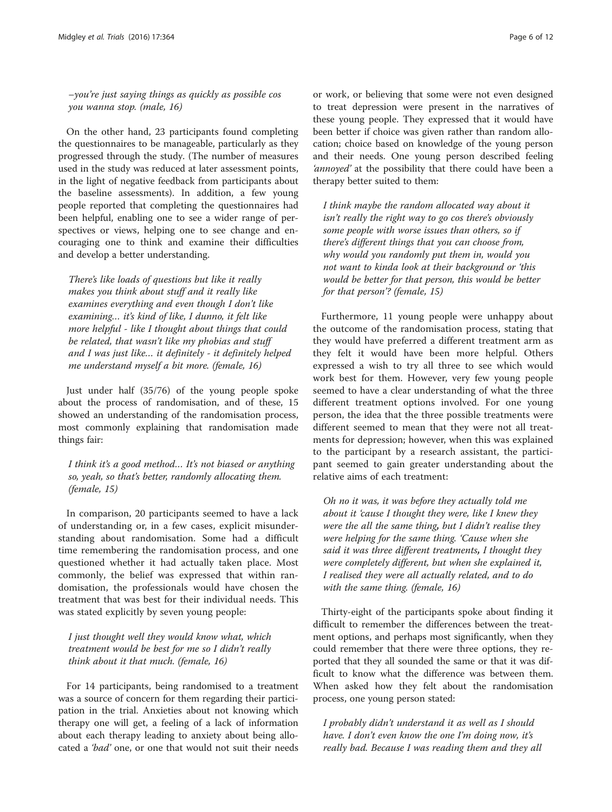–you're just saying things as quickly as possible cos you wanna stop. (male, 16)

On the other hand, 23 participants found completing the questionnaires to be manageable, particularly as they progressed through the study. (The number of measures used in the study was reduced at later assessment points, in the light of negative feedback from participants about the baseline assessments). In addition, a few young people reported that completing the questionnaires had been helpful, enabling one to see a wider range of perspectives or views, helping one to see change and encouraging one to think and examine their difficulties and develop a better understanding.

There's like loads of questions but like it really makes you think about stuff and it really like examines everything and even though I don't like examining… it's kind of like, I dunno, it felt like more helpful - like I thought about things that could be related, that wasn't like my phobias and stuff and I was just like… it definitely - it definitely helped me understand myself a bit more. (female, 16)

Just under half (35/76) of the young people spoke about the process of randomisation, and of these, 15 showed an understanding of the randomisation process, most commonly explaining that randomisation made things fair:

I think it's a good method… It's not biased or anything so, yeah, so that's better, randomly allocating them. (female, 15)

In comparison, 20 participants seemed to have a lack of understanding or, in a few cases, explicit misunderstanding about randomisation. Some had a difficult time remembering the randomisation process, and one questioned whether it had actually taken place. Most commonly, the belief was expressed that within randomisation, the professionals would have chosen the treatment that was best for their individual needs. This was stated explicitly by seven young people:

I just thought well they would know what, which treatment would be best for me so I didn't really think about it that much. (female, 16)

For 14 participants, being randomised to a treatment was a source of concern for them regarding their participation in the trial. Anxieties about not knowing which therapy one will get, a feeling of a lack of information about each therapy leading to anxiety about being allocated a 'bad' one, or one that would not suit their needs

or work, or believing that some were not even designed to treat depression were present in the narratives of these young people. They expressed that it would have been better if choice was given rather than random allocation; choice based on knowledge of the young person and their needs. One young person described feeling 'annoyed' at the possibility that there could have been a therapy better suited to them:

I think maybe the random allocated way about it isn't really the right way to go cos there's obviously some people with worse issues than others, so if there's different things that you can choose from, why would you randomly put them in, would you not want to kinda look at their background or 'this would be better for that person, this would be better for that person'? (female, 15)

Furthermore, 11 young people were unhappy about the outcome of the randomisation process, stating that they would have preferred a different treatment arm as they felt it would have been more helpful. Others expressed a wish to try all three to see which would work best for them. However, very few young people seemed to have a clear understanding of what the three different treatment options involved. For one young person, the idea that the three possible treatments were different seemed to mean that they were not all treatments for depression; however, when this was explained to the participant by a research assistant, the participant seemed to gain greater understanding about the relative aims of each treatment:

Oh no it was, it was before they actually told me about it 'cause I thought they were, like I knew they were the all the same thing, but I didn't realise they were helping for the same thing. 'Cause when she said it was three different treatments, I thought they were completely different, but when she explained it, I realised they were all actually related, and to do with the same thing. (female, 16)

Thirty-eight of the participants spoke about finding it difficult to remember the differences between the treatment options, and perhaps most significantly, when they could remember that there were three options, they reported that they all sounded the same or that it was difficult to know what the difference was between them. When asked how they felt about the randomisation process, one young person stated:

I probably didn't understand it as well as I should have. I don't even know the one I'm doing now, it's really bad. Because I was reading them and they all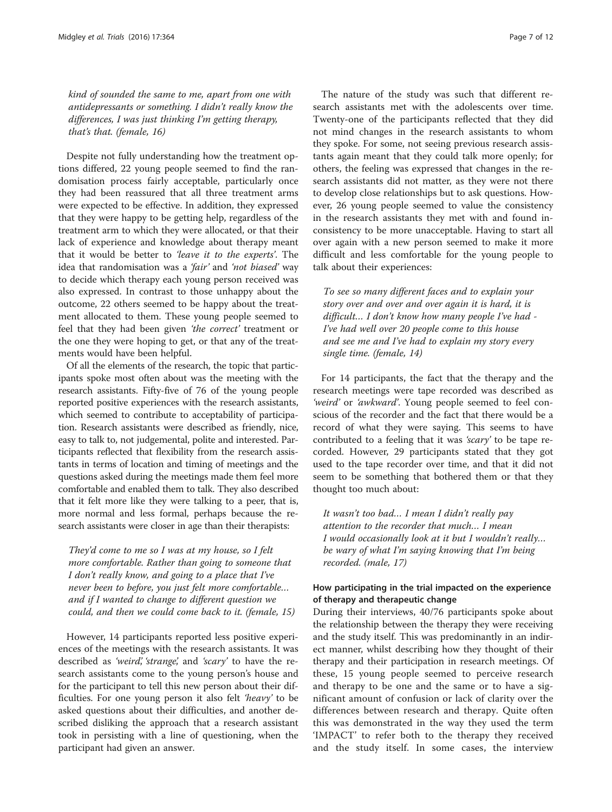kind of sounded the same to me, apart from one with antidepressants or something. I didn't really know the differences, I was just thinking I'm getting therapy, that's that. (female, 16)

Despite not fully understanding how the treatment options differed, 22 young people seemed to find the randomisation process fairly acceptable, particularly once they had been reassured that all three treatment arms were expected to be effective. In addition, they expressed that they were happy to be getting help, regardless of the treatment arm to which they were allocated, or that their lack of experience and knowledge about therapy meant that it would be better to 'leave it to the experts'. The idea that randomisation was a 'fair' and 'not biased' way to decide which therapy each young person received was also expressed. In contrast to those unhappy about the outcome, 22 others seemed to be happy about the treatment allocated to them. These young people seemed to feel that they had been given 'the correct' treatment or the one they were hoping to get, or that any of the treatments would have been helpful.

Of all the elements of the research, the topic that participants spoke most often about was the meeting with the research assistants. Fifty-five of 76 of the young people reported positive experiences with the research assistants, which seemed to contribute to acceptability of participation. Research assistants were described as friendly, nice, easy to talk to, not judgemental, polite and interested. Participants reflected that flexibility from the research assistants in terms of location and timing of meetings and the questions asked during the meetings made them feel more comfortable and enabled them to talk. They also described that it felt more like they were talking to a peer, that is, more normal and less formal, perhaps because the research assistants were closer in age than their therapists:

They'd come to me so I was at my house, so I felt more comfortable. Rather than going to someone that I don't really know, and going to a place that I've never been to before, you just felt more comfortable… and if I wanted to change to different question we could, and then we could come back to it. (female, 15)

However, 14 participants reported less positive experiences of the meetings with the research assistants. It was described as 'weird', 'strange', and 'scary' to have the research assistants come to the young person's house and for the participant to tell this new person about their difficulties. For one young person it also felt 'heavy' to be asked questions about their difficulties, and another described disliking the approach that a research assistant took in persisting with a line of questioning, when the participant had given an answer.

The nature of the study was such that different research assistants met with the adolescents over time. Twenty-one of the participants reflected that they did not mind changes in the research assistants to whom they spoke. For some, not seeing previous research assistants again meant that they could talk more openly; for others, the feeling was expressed that changes in the research assistants did not matter, as they were not there to develop close relationships but to ask questions. However, 26 young people seemed to value the consistency in the research assistants they met with and found inconsistency to be more unacceptable. Having to start all over again with a new person seemed to make it more difficult and less comfortable for the young people to talk about their experiences:

To see so many different faces and to explain your story over and over and over again it is hard, it is difficult… I don't know how many people I've had - I've had well over 20 people come to this house and see me and I've had to explain my story every single time. (female, 14)

For 14 participants, the fact that the therapy and the research meetings were tape recorded was described as 'weird' or 'awkward'. Young people seemed to feel conscious of the recorder and the fact that there would be a record of what they were saying. This seems to have contributed to a feeling that it was 'scary' to be tape recorded. However, 29 participants stated that they got used to the tape recorder over time, and that it did not seem to be something that bothered them or that they thought too much about:

It wasn't too bad… I mean I didn't really pay attention to the recorder that much… I mean I would occasionally look at it but I wouldn't really… be wary of what I'm saying knowing that I'm being recorded. (male, 17)

### How participating in the trial impacted on the experience of therapy and therapeutic change

During their interviews, 40/76 participants spoke about the relationship between the therapy they were receiving and the study itself. This was predominantly in an indirect manner, whilst describing how they thought of their therapy and their participation in research meetings. Of these, 15 young people seemed to perceive research and therapy to be one and the same or to have a significant amount of confusion or lack of clarity over the differences between research and therapy. Quite often this was demonstrated in the way they used the term 'IMPACT' to refer both to the therapy they received and the study itself. In some cases, the interview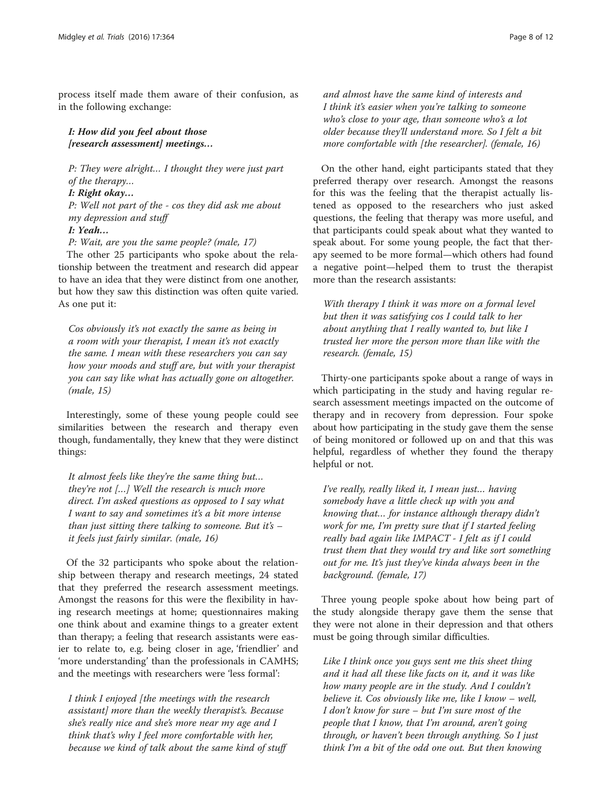process itself made them aware of their confusion, as in the following exchange:

I: How did you feel about those [research assessment] meetings...

P: They were alright… I thought they were just part of the therapy… I: Right okay… P: Well not part of the - cos they did ask me about my depression and stuff

I: Yeah…

P: Wait, are you the same people? (male, 17)

The other 25 participants who spoke about the relationship between the treatment and research did appear to have an idea that they were distinct from one another, but how they saw this distinction was often quite varied. As one put it:

Cos obviously it's not exactly the same as being in a room with your therapist, I mean it's not exactly the same. I mean with these researchers you can say how your moods and stuff are, but with your therapist you can say like what has actually gone on altogether. (male, 15)

Interestingly, some of these young people could see similarities between the research and therapy even though, fundamentally, they knew that they were distinct things:

It almost feels like they're the same thing but… they're not […] Well the research is much more direct. I'm asked questions as opposed to I say what I want to say and sometimes it's a bit more intense than just sitting there talking to someone. But it's  $$ it feels just fairly similar. (male, 16)

Of the 32 participants who spoke about the relationship between therapy and research meetings, 24 stated that they preferred the research assessment meetings. Amongst the reasons for this were the flexibility in having research meetings at home; questionnaires making one think about and examine things to a greater extent than therapy; a feeling that research assistants were easier to relate to, e.g. being closer in age, 'friendlier' and 'more understanding' than the professionals in CAMHS; and the meetings with researchers were 'less formal':

I think I enjoyed [the meetings with the research assistant] more than the weekly therapist's. Because she's really nice and she's more near my age and I think that's why I feel more comfortable with her, because we kind of talk about the same kind of stuff and almost have the same kind of interests and I think it's easier when you're talking to someone who's close to your age, than someone who's a lot older because they'll understand more. So I felt a bit more comfortable with [the researcher]. (female, 16)

On the other hand, eight participants stated that they preferred therapy over research. Amongst the reasons for this was the feeling that the therapist actually listened as opposed to the researchers who just asked questions, the feeling that therapy was more useful, and that participants could speak about what they wanted to speak about. For some young people, the fact that therapy seemed to be more formal—which others had found a negative point—helped them to trust the therapist more than the research assistants:

With therapy I think it was more on a formal level but then it was satisfying cos I could talk to her about anything that I really wanted to, but like I trusted her more the person more than like with the research. (female, 15)

Thirty-one participants spoke about a range of ways in which participating in the study and having regular research assessment meetings impacted on the outcome of therapy and in recovery from depression. Four spoke about how participating in the study gave them the sense of being monitored or followed up on and that this was helpful, regardless of whether they found the therapy helpful or not.

I've really, really liked it, I mean just… having somebody have a little check up with you and knowing that… for instance although therapy didn't work for me, I'm pretty sure that if I started feeling really bad again like IMPACT - I felt as if I could trust them that they would try and like sort something out for me. It's just they've kinda always been in the background. (female, 17)

Three young people spoke about how being part of the study alongside therapy gave them the sense that they were not alone in their depression and that others must be going through similar difficulties.

Like I think once you guys sent me this sheet thing and it had all these like facts on it, and it was like how many people are in the study. And I couldn't believe it. Cos obviously like me, like I know – well, I don't know for sure – but I'm sure most of the people that I know, that I'm around, aren't going through, or haven't been through anything. So I just think I'm a bit of the odd one out. But then knowing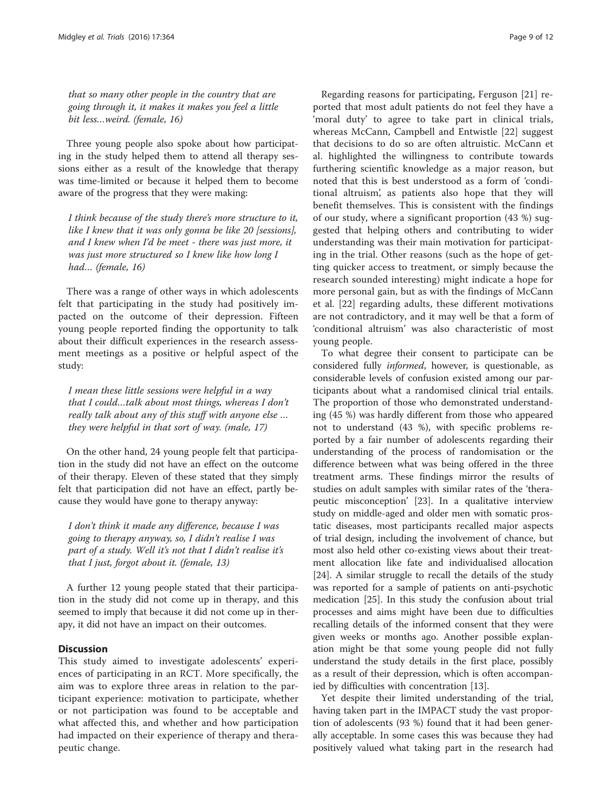that so many other people in the country that are going through it, it makes it makes you feel a little bit less…weird. (female, 16)

Three young people also spoke about how participating in the study helped them to attend all therapy sessions either as a result of the knowledge that therapy was time-limited or because it helped them to become aware of the progress that they were making:

I think because of the study there's more structure to it, like I knew that it was only gonna be like 20 [sessions], and I knew when I'd be meet - there was just more, it was just more structured so I knew like how long I had... (female, 16)

There was a range of other ways in which adolescents felt that participating in the study had positively impacted on the outcome of their depression. Fifteen young people reported finding the opportunity to talk about their difficult experiences in the research assessment meetings as a positive or helpful aspect of the study:

I mean these little sessions were helpful in a way that I could…talk about most things, whereas I don't really talk about any of this stuff with anyone else … they were helpful in that sort of way. (male, 17)

On the other hand, 24 young people felt that participation in the study did not have an effect on the outcome of their therapy. Eleven of these stated that they simply felt that participation did not have an effect, partly because they would have gone to therapy anyway:

I don't think it made any difference, because I was going to therapy anyway, so, I didn't realise I was part of a study. Well it's not that I didn't realise it's that I just, forgot about it. (female, 13)

A further 12 young people stated that their participation in the study did not come up in therapy, and this seemed to imply that because it did not come up in therapy, it did not have an impact on their outcomes.

#### **Discussion**

This study aimed to investigate adolescents' experiences of participating in an RCT. More specifically, the aim was to explore three areas in relation to the participant experience: motivation to participate, whether or not participation was found to be acceptable and what affected this, and whether and how participation had impacted on their experience of therapy and therapeutic change.

Regarding reasons for participating, Ferguson [\[21](#page-11-0)] reported that most adult patients do not feel they have a 'moral duty' to agree to take part in clinical trials, whereas McCann, Campbell and Entwistle [\[22](#page-11-0)] suggest that decisions to do so are often altruistic. McCann et al. highlighted the willingness to contribute towards furthering scientific knowledge as a major reason, but noted that this is best understood as a form of 'conditional altruism', as patients also hope that they will benefit themselves. This is consistent with the findings of our study, where a significant proportion (43 %) suggested that helping others and contributing to wider understanding was their main motivation for participating in the trial. Other reasons (such as the hope of getting quicker access to treatment, or simply because the research sounded interesting) might indicate a hope for more personal gain, but as with the findings of McCann et al. [[22\]](#page-11-0) regarding adults, these different motivations are not contradictory, and it may well be that a form of 'conditional altruism' was also characteristic of most young people.

To what degree their consent to participate can be considered fully informed, however, is questionable, as considerable levels of confusion existed among our participants about what a randomised clinical trial entails. The proportion of those who demonstrated understanding (45 %) was hardly different from those who appeared not to understand (43 %), with specific problems reported by a fair number of adolescents regarding their understanding of the process of randomisation or the difference between what was being offered in the three treatment arms. These findings mirror the results of studies on adult samples with similar rates of the 'therapeutic misconception' [\[23](#page-11-0)]. In a qualitative interview study on middle-aged and older men with somatic prostatic diseases, most participants recalled major aspects of trial design, including the involvement of chance, but most also held other co-existing views about their treatment allocation like fate and individualised allocation [[24\]](#page-11-0). A similar struggle to recall the details of the study was reported for a sample of patients on anti-psychotic medication [\[25](#page-11-0)]. In this study the confusion about trial processes and aims might have been due to difficulties recalling details of the informed consent that they were given weeks or months ago. Another possible explanation might be that some young people did not fully understand the study details in the first place, possibly as a result of their depression, which is often accompanied by difficulties with concentration [\[13\]](#page-11-0).

Yet despite their limited understanding of the trial, having taken part in the IMPACT study the vast proportion of adolescents (93 %) found that it had been generally acceptable. In some cases this was because they had positively valued what taking part in the research had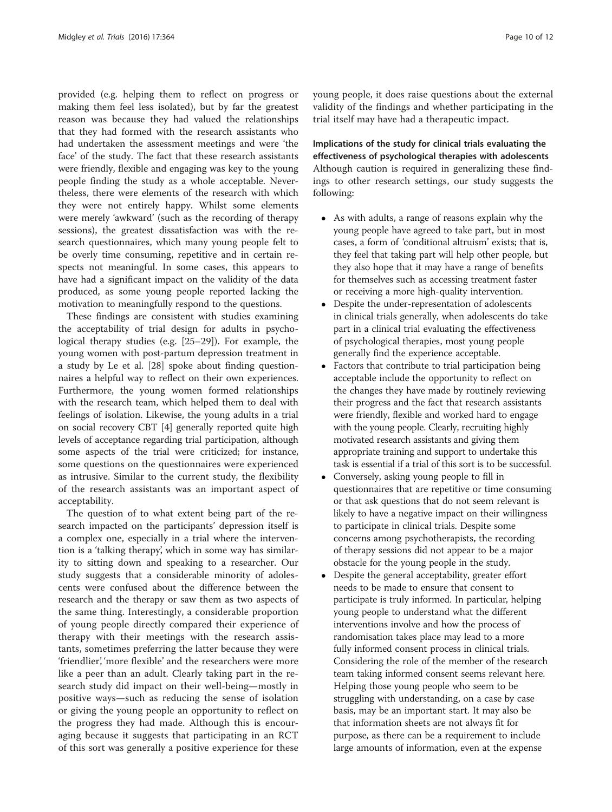provided (e.g. helping them to reflect on progress or making them feel less isolated), but by far the greatest reason was because they had valued the relationships that they had formed with the research assistants who had undertaken the assessment meetings and were 'the face' of the study. The fact that these research assistants were friendly, flexible and engaging was key to the young people finding the study as a whole acceptable. Nevertheless, there were elements of the research with which they were not entirely happy. Whilst some elements were merely 'awkward' (such as the recording of therapy sessions), the greatest dissatisfaction was with the research questionnaires, which many young people felt to be overly time consuming, repetitive and in certain respects not meaningful. In some cases, this appears to have had a significant impact on the validity of the data produced, as some young people reported lacking the motivation to meaningfully respond to the questions.

These findings are consistent with studies examining the acceptability of trial design for adults in psychological therapy studies (e.g. [[25](#page-11-0)–[29](#page-11-0)]). For example, the young women with post-partum depression treatment in a study by Le et al. [\[28\]](#page-11-0) spoke about finding questionnaires a helpful way to reflect on their own experiences. Furthermore, the young women formed relationships with the research team, which helped them to deal with feelings of isolation. Likewise, the young adults in a trial on social recovery CBT [\[4](#page-11-0)] generally reported quite high levels of acceptance regarding trial participation, although some aspects of the trial were criticized; for instance, some questions on the questionnaires were experienced as intrusive. Similar to the current study, the flexibility of the research assistants was an important aspect of acceptability.

The question of to what extent being part of the research impacted on the participants' depression itself is a complex one, especially in a trial where the intervention is a 'talking therapy', which in some way has similarity to sitting down and speaking to a researcher. Our study suggests that a considerable minority of adolescents were confused about the difference between the research and the therapy or saw them as two aspects of the same thing. Interestingly, a considerable proportion of young people directly compared their experience of therapy with their meetings with the research assistants, sometimes preferring the latter because they were 'friendlier', 'more flexible' and the researchers were more like a peer than an adult. Clearly taking part in the research study did impact on their well-being—mostly in positive ways—such as reducing the sense of isolation or giving the young people an opportunity to reflect on the progress they had made. Although this is encouraging because it suggests that participating in an RCT of this sort was generally a positive experience for these young people, it does raise questions about the external validity of the findings and whether participating in the trial itself may have had a therapeutic impact.

Implications of the study for clinical trials evaluating the effectiveness of psychological therapies with adolescents Although caution is required in generalizing these findings to other research settings, our study suggests the following:

- As with adults, a range of reasons explain why the young people have agreed to take part, but in most cases, a form of 'conditional altruism' exists; that is, they feel that taking part will help other people, but they also hope that it may have a range of benefits for themselves such as accessing treatment faster or receiving a more high-quality intervention.
- Despite the under-representation of adolescents in clinical trials generally, when adolescents do take part in a clinical trial evaluating the effectiveness of psychological therapies, most young people generally find the experience acceptable.
- Factors that contribute to trial participation being acceptable include the opportunity to reflect on the changes they have made by routinely reviewing their progress and the fact that research assistants were friendly, flexible and worked hard to engage with the young people. Clearly, recruiting highly motivated research assistants and giving them appropriate training and support to undertake this task is essential if a trial of this sort is to be successful.
- Conversely, asking young people to fill in questionnaires that are repetitive or time consuming or that ask questions that do not seem relevant is likely to have a negative impact on their willingness to participate in clinical trials. Despite some concerns among psychotherapists, the recording of therapy sessions did not appear to be a major obstacle for the young people in the study.
- Despite the general acceptability, greater effort needs to be made to ensure that consent to participate is truly informed. In particular, helping young people to understand what the different interventions involve and how the process of randomisation takes place may lead to a more fully informed consent process in clinical trials. Considering the role of the member of the research team taking informed consent seems relevant here. Helping those young people who seem to be struggling with understanding, on a case by case basis, may be an important start. It may also be that information sheets are not always fit for purpose, as there can be a requirement to include large amounts of information, even at the expense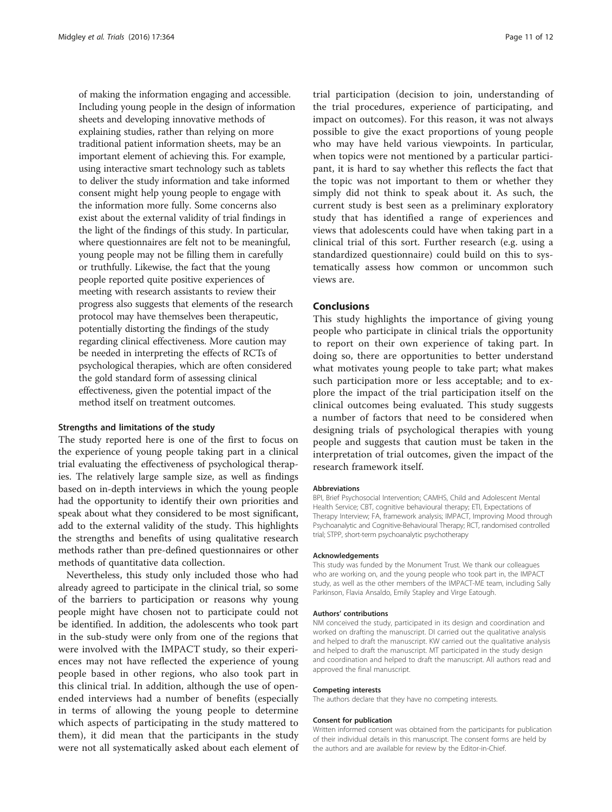of making the information engaging and accessible. Including young people in the design of information sheets and developing innovative methods of explaining studies, rather than relying on more traditional patient information sheets, may be an important element of achieving this. For example, using interactive smart technology such as tablets to deliver the study information and take informed consent might help young people to engage with the information more fully. Some concerns also exist about the external validity of trial findings in the light of the findings of this study. In particular, where questionnaires are felt not to be meaningful, young people may not be filling them in carefully or truthfully. Likewise, the fact that the young people reported quite positive experiences of meeting with research assistants to review their progress also suggests that elements of the research protocol may have themselves been therapeutic, potentially distorting the findings of the study regarding clinical effectiveness. More caution may be needed in interpreting the effects of RCTs of psychological therapies, which are often considered the gold standard form of assessing clinical effectiveness, given the potential impact of the method itself on treatment outcomes.

#### Strengths and limitations of the study

The study reported here is one of the first to focus on the experience of young people taking part in a clinical trial evaluating the effectiveness of psychological therapies. The relatively large sample size, as well as findings based on in-depth interviews in which the young people had the opportunity to identify their own priorities and speak about what they considered to be most significant, add to the external validity of the study. This highlights the strengths and benefits of using qualitative research methods rather than pre-defined questionnaires or other methods of quantitative data collection.

Nevertheless, this study only included those who had already agreed to participate in the clinical trial, so some of the barriers to participation or reasons why young people might have chosen not to participate could not be identified. In addition, the adolescents who took part in the sub-study were only from one of the regions that were involved with the IMPACT study, so their experiences may not have reflected the experience of young people based in other regions, who also took part in this clinical trial. In addition, although the use of openended interviews had a number of benefits (especially in terms of allowing the young people to determine which aspects of participating in the study mattered to them), it did mean that the participants in the study were not all systematically asked about each element of

trial participation (decision to join, understanding of the trial procedures, experience of participating, and impact on outcomes). For this reason, it was not always possible to give the exact proportions of young people who may have held various viewpoints. In particular, when topics were not mentioned by a particular participant, it is hard to say whether this reflects the fact that the topic was not important to them or whether they simply did not think to speak about it. As such, the current study is best seen as a preliminary exploratory study that has identified a range of experiences and views that adolescents could have when taking part in a clinical trial of this sort. Further research (e.g. using a standardized questionnaire) could build on this to systematically assess how common or uncommon such views are.

#### Conclusions

This study highlights the importance of giving young people who participate in clinical trials the opportunity to report on their own experience of taking part. In doing so, there are opportunities to better understand what motivates young people to take part; what makes such participation more or less acceptable; and to explore the impact of the trial participation itself on the clinical outcomes being evaluated. This study suggests a number of factors that need to be considered when designing trials of psychological therapies with young people and suggests that caution must be taken in the interpretation of trial outcomes, given the impact of the research framework itself.

#### Abbreviations

BPI, Brief Psychosocial Intervention; CAMHS, Child and Adolescent Mental Health Service; CBT, cognitive behavioural therapy; ETI, Expectations of Therapy Interview; FA, framework analysis; IMPACT, Improving Mood through Psychoanalytic and Cognitive-Behavioural Therapy; RCT, randomised controlled trial; STPP, short-term psychoanalytic psychotherapy

#### Acknowledgements

This study was funded by the Monument Trust. We thank our colleagues who are working on, and the young people who took part in, the IMPACT study, as well as the other members of the IMPACT-ME team, including Sally Parkinson, Flavia Ansaldo, Emily Stapley and Virge Eatough.

#### Authors' contributions

NM conceived the study, participated in its design and coordination and worked on drafting the manuscript. DI carried out the qualitative analysis and helped to draft the manuscript. KW carried out the qualitative analysis and helped to draft the manuscript. MT participated in the study design and coordination and helped to draft the manuscript. All authors read and approved the final manuscript.

#### Competing interests

The authors declare that they have no competing interests.

#### Consent for publication

Written informed consent was obtained from the participants for publication of their individual details in this manuscript. The consent forms are held by the authors and are available for review by the Editor-in-Chief.